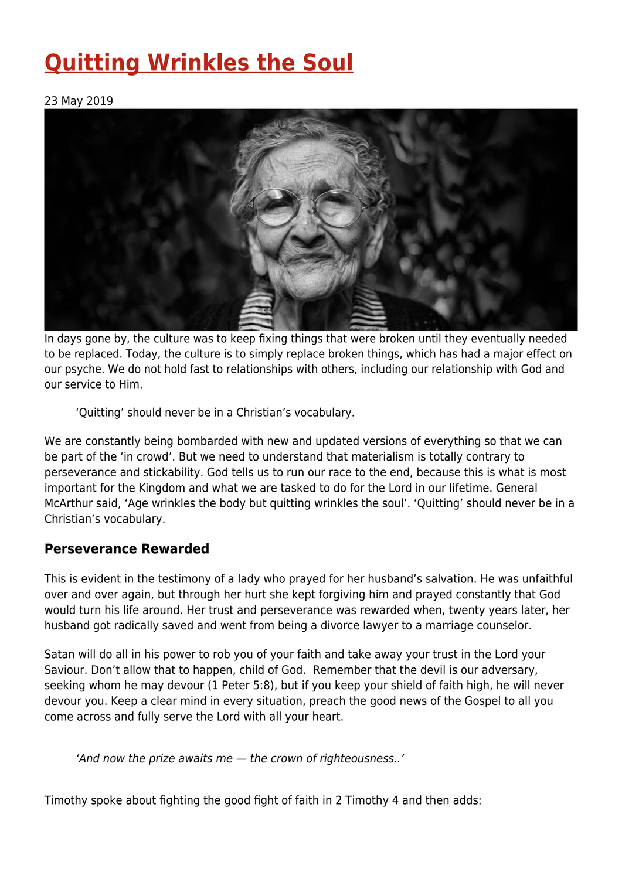# **[Quitting Wrinkles the Soul](https://four12global.com/articles/quitting-wrinkles-the-soul/)**

#### 23 May 2019



In days gone by, the culture was to keep fixing things that were broken until they eventually needed to be replaced. Today, the culture is to simply replace broken things, which has had a major effect on our psyche. We do not hold fast to relationships with others, including our relationship with God and our service to Him.

'Quitting' should never be in a Christian's vocabulary.

We are constantly being bombarded with new and updated versions of everything so that we can be part of the 'in crowd'. But we need to understand that materialism is totally contrary to perseverance and stickability. God tells us to run our race to the end, because this is what is most important for the Kingdom and what we are tasked to do for the Lord in our lifetime. General McArthur said, 'Age wrinkles the body but quitting wrinkles the soul'. 'Quitting' should never be in a Christian's vocabulary.

## **Perseverance Rewarded**

This is evident in the testimony of a lady who prayed for her husband's salvation. He was unfaithful over and over again, but through her hurt she kept forgiving him and prayed constantly that God would turn his life around. Her trust and perseverance was rewarded when, twenty years later, her husband got radically saved and went from being a divorce lawyer to a marriage counselor.

Satan will do all in his power to rob you of your faith and take away your trust in the Lord your Saviour. Don't allow that to happen, child of God. Remember that the devil is our adversary, seeking whom he may devour (1 Peter 5:8), but if you keep your shield of faith high, he will never devour you. Keep a clear mind in every situation, preach the good news of the Gospel to all you come across and fully serve the Lord with all your heart.

'And now the prize awaits me — the crown of righteousness..'

Timothy spoke about fighting the good fight of faith in 2 Timothy 4 and then adds: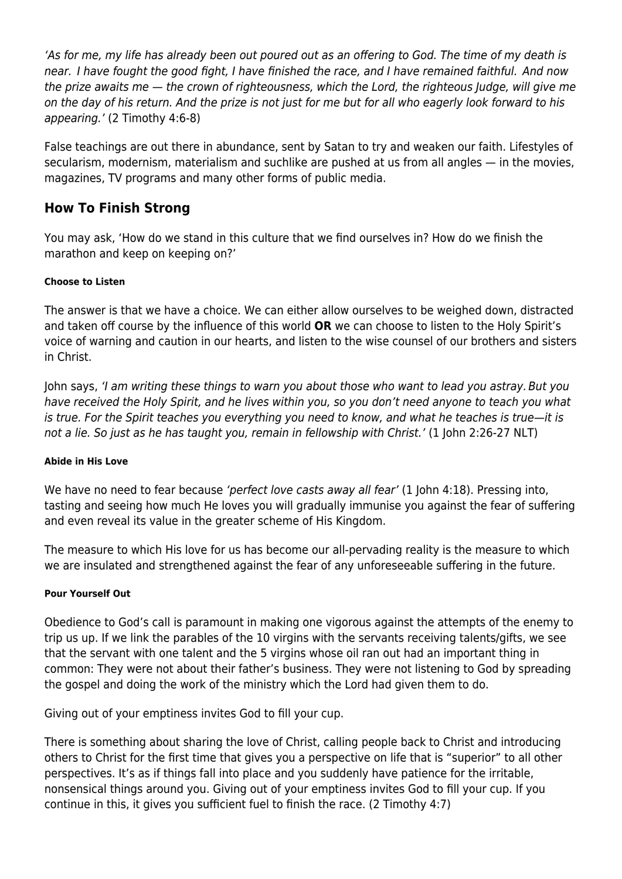'As for me, my life has already been out poured out as an offering to God. The time of my death is near. I have fought the good fight, I have finished the race, and I have remained faithful. And now the prize awaits me — the crown of righteousness, which the Lord, the righteous Judge, will give me on the day of his return. And the prize is not just for me but for all who eagerly look forward to his appearing.' (2 Timothy 4:6-8)

False teachings are out there in abundance, sent by Satan to try and weaken our faith. Lifestyles of secularism, modernism, materialism and suchlike are pushed at us from all angles — in the movies, magazines, TV programs and many other forms of public media.

## **How To Finish Strong**

You may ask, 'How do we stand in this culture that we find ourselves in? How do we finish the marathon and keep on keeping on?'

#### **Choose to Listen**

The answer is that we have a choice. We can either allow ourselves to be weighed down, distracted and taken off course by the influence of this world **OR** we can choose to listen to the Holy Spirit's voice of warning and caution in our hearts, and listen to the wise counsel of our brothers and sisters in Christ.

John says, 'I am writing these things to warn you about those who want to lead you astray. But you have received the Holy Spirit, and he lives within you, so you don't need anyone to teach you what is true. For the Spirit teaches you everything you need to know, and what he teaches is true—it is not a lie. So just as he has taught you, remain in fellowship with Christ.' (1 John 2:26-27 NLT)

#### **Abide in His Love**

We have no need to fear because 'perfect love casts away all fear' (1 John 4:18). Pressing into, tasting and seeing how much He loves you will gradually immunise you against the fear of suffering and even reveal its value in the greater scheme of His Kingdom.

The measure to which His love for us has become our all-pervading reality is the measure to which we are insulated and strengthened against the fear of any unforeseeable suffering in the future.

#### **Pour Yourself Out**

Obedience to God's call is paramount in making one vigorous against the attempts of the enemy to trip us up. If we link the parables of the 10 virgins with the servants receiving talents/gifts, we see that the servant with one talent and the 5 virgins whose oil ran out had an important thing in common: They were not about their father's business. They were not listening to God by spreading the gospel and doing the work of the ministry which the Lord had given them to do.

Giving out of your emptiness invites God to fill your cup.

There is something about sharing the love of Christ, calling people back to Christ and introducing others to Christ for the first time that gives you a perspective on life that is "superior" to all other perspectives. It's as if things fall into place and you suddenly have patience for the irritable, nonsensical things around you. Giving out of your emptiness invites God to fill your cup. If you continue in this, it gives you sufficient fuel to finish the race. (2 Timothy 4:7)